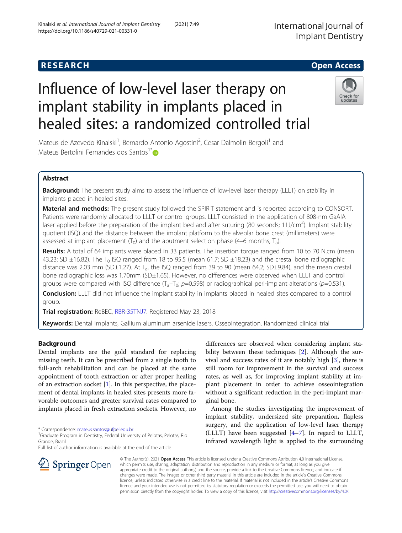# Influence of low-level laser therapy on implant stability in implants placed in healed sites: a randomized controlled trial



Mateus de Azevedo Kinalski<sup>1</sup>, Bernardo Antonio Agostini<sup>2</sup>, Cesar Dalmolin Bergoli<sup>1</sup> and Mateus Bertolini Fernandes dos Santos<sup>1</sup><sup>\*</sup>

## Abstract

Background: The present study aims to assess the influence of low-level laser therapy (LLLT) on stability in implants placed in healed sites.

Material and methods: The present study followed the SPIRIT statement and is reported according to CONSORT. Patients were randomly allocated to LLLT or control groups. LLLT consisted in the application of 808-nm GaAlA laser applied before the preparation of the implant bed and after suturing (80 seconds; 11J/cm<sup>2</sup>). Implant stability quotient (ISQ) and the distance between the implant platform to the alveolar bone crest (millimeters) were assessed at implant placement  $(T_0)$  and the abutment selection phase (4–6 months,  $T_a$ ).

Results: A total of 64 implants were placed in 33 patients. The insertion torque ranged from 10 to 70 N.cm (mean 43.23; SD  $\pm$ 16.82). The T<sub>0</sub> ISQ ranged from 18 to 95.5 (mean 61.7; SD  $\pm$ 18.23) and the crestal bone radiographic distance was 2.03 mm (SD $\pm$ 1.27). At T<sub>a</sub>, the ISQ ranged from 39 to 90 (mean 64.2; SD $\pm$ 9.84), and the mean crestal bone radiographic loss was 1.70mm (SD±1.65). However, no differences were observed when LLLT and control groups were compared with ISQ difference  $(T_a-T_0; p=0.598)$  or radiographical peri-implant alterations (p=0.531).

Conclusion: LLLT did not influence the implant stability in implants placed in healed sites compared to a control group.

Trial registration: ReBEC, [RBR-35TNJ7.](https://ensaiosclinicos.gov.br/rg/RBR-35tnj7) Registered May 23, 2018

Keywords: Dental implants, Gallium aluminum arsenide lasers, Osseointegration, Randomized clinical trial

## Background

Dental implants are the gold standard for replacing missing teeth. It can be prescribed from a single tooth to full-arch rehabilitation and can be placed at the same appointment of tooth extraction or after proper healing of an extraction socket  $[1]$  $[1]$  $[1]$ . In this perspective, the placement of dental implants in healed sites presents more favorable outcomes and greater survival rates compared to implants placed in fresh extraction sockets. However, no

\* Correspondence: [mateus.santos@ufpel.edu.br](mailto:mateus.santos@ufpel.edu.br) <sup>1</sup>

Full list of author information is available at the end of the article



Among the studies investigating the improvement of implant stability, undersized site preparation, flapless surgery, and the application of low-level laser therapy (LLLT) have been suggested [[4](#page-6-0)–[7\]](#page-6-0). In regard to LLLT, infrared wavelength light is applied to the surrounding



© The Author(s). 2021 Open Access This article is licensed under a Creative Commons Attribution 4.0 International License, which permits use, sharing, adaptation, distribution and reproduction in any medium or format, as long as you give appropriate credit to the original author(s) and the source, provide a link to the Creative Commons licence, and indicate if changes were made. The images or other third party material in this article are included in the article's Creative Commons licence, unless indicated otherwise in a credit line to the material. If material is not included in the article's Creative Commons licence and your intended use is not permitted by statutory regulation or exceeds the permitted use, you will need to obtain permission directly from the copyright holder. To view a copy of this licence, visit <http://creativecommons.org/licenses/by/4.0/>.

<sup>&</sup>lt;sup>1</sup> Graduate Program in Dentistry, Federal University of Pelotas, Pelotas, Rio Grande, Brazil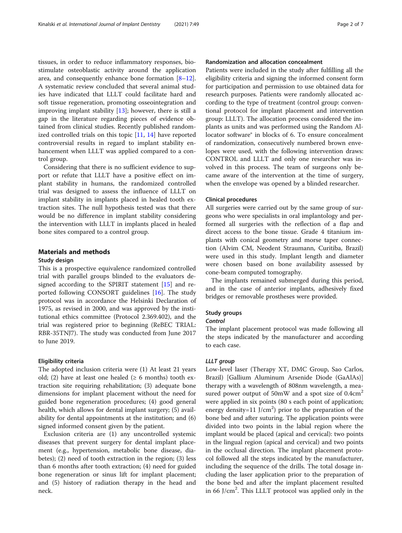tissues, in order to reduce inflammatory responses, biostimulate osteoblastic activity around the application area, and consequently enhance bone formation  $[8-12]$  $[8-12]$  $[8-12]$  $[8-12]$  $[8-12]$ . A systematic review concluded that several animal studies have indicated that LLLT could facilitate hard and soft tissue regeneration, promoting osseointegration and improving implant stability [\[13](#page-6-0)]; however, there is still a gap in the literature regarding pieces of evidence obtained from clinical studies. Recently published randomized controlled trials on this topic [[11,](#page-6-0) [14\]](#page-6-0) have reported controversial results in regard to implant stability enhancement when LLLT was applied compared to a control group.

Considering that there is no sufficient evidence to support or refute that LLLT have a positive effect on implant stability in humans, the randomized controlled trial was designed to assess the influence of LLLT on implant stability in implants placed in healed tooth extraction sites. The null hypothesis tested was that there would be no difference in implant stability considering the intervention with LLLT in implants placed in healed bone sites compared to a control group.

#### Materials and methods

#### Study design

This is a prospective equivalence randomized controlled trial with parallel groups blinded to the evaluators designed according to the SPIRIT statement [\[15](#page-6-0)] and reported following CONSORT guidelines [[16\]](#page-6-0). The study protocol was in accordance the Helsinki Declaration of 1975, as revised in 2000, and was approved by the institutional ethics committee (Protocol 2.369.402), and the trial was registered prior to beginning (ReBEC TRIAL: RBR-35TNJ7). The study was conducted from June 2017 to June 2019.

#### Eligibility criteria

The adopted inclusion criteria were (1) At least 21 years old; (2) have at least one healed ( $\geq 6$  months) tooth extraction site requiring rehabilitation; (3) adequate bone dimensions for implant placement without the need for guided bone regeneration procedures; (4) good general health, which allows for dental implant surgery; (5) availability for dental appointments at the institution; and (6) signed informed consent given by the patient.

Exclusion criteria are (1) any uncontrolled systemic diseases that prevent surgery for dental implant placement (e.g., hypertension, metabolic bone disease, diabetes); (2) need of tooth extraction in the region; (3) less than 6 months after tooth extraction; (4) need for guided bone regeneration or sinus lift for implant placement; and (5) history of radiation therapy in the head and neck.

#### Randomization and allocation concealment

Patients were included in the study after fulfilling all the eligibility criteria and signing the informed consent form for participation and permission to use obtained data for research purposes. Patients were randomly allocated according to the type of treatment (control group: conventional protocol for implant placement and intervention group: LLLT). The allocation process considered the implants as units and was performed using the Random Allocator software® in blocks of 6. To ensure concealment of randomization, consecutively numbered brown envelopes were used, with the following intervention draws: CONTROL and LLLT and only one researcher was involved in this process. The team of surgeons only became aware of the intervention at the time of surgery, when the envelope was opened by a blinded researcher.

#### Clinical procedures

All surgeries were carried out by the same group of surgeons who were specialists in oral implantology and performed all surgeries with the reflection of a flap and direct access to the bone tissue. Grade 4 titanium implants with conical geometry and morse taper connection (Alvim CM, Neodent Straumann, Curitiba, Brazil) were used in this study. Implant length and diameter were chosen based on bone availability assessed by cone-beam computed tomography.

The implants remained submerged during this period, and in the case of anterior implants, adhesively fixed bridges or removable prostheses were provided.

#### Study groups

The implant placement protocol was made following all the steps indicated by the manufacturer and according to each case.

Low-level laser (Therapy XT, DMC Group, Sao Carlos, Brazil) [Gallium Aluminum Arsenide Diode (GaAlAs)] therapy with a wavelength of 808nm wavelength, a measured power output of 50mW and a spot size of  $0.4 \text{cm}^2$ were applied in six points (80 s each point of application; energy density=11  $J/cm<sup>2</sup>$ ) prior to the preparation of the bone bed and after suturing. The application points were divided into two points in the labial region where the implant would be placed (apical and cervical): two points in the lingual region (apical and cervical) and two points in the occlusal direction. The implant placement protocol followed all the steps indicated by the manufacturer, including the sequence of the drills. The total dosage including the laser application prior to the preparation of the bone bed and after the implant placement resulted in 66 J/cm<sup>2</sup>. This LLLT protocol was applied only in the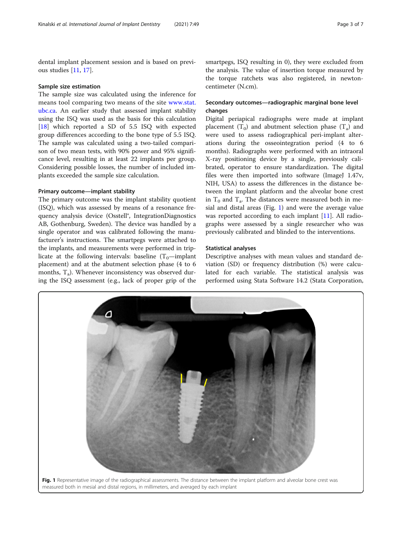dental implant placement session and is based on previous studies [\[11,](#page-6-0) [17\]](#page-6-0).

#### Sample size estimation

The sample size was calculated using the inference for means tool comparing two means of the site [www.stat.](http://www.stat.ubc.ca) [ubc.ca](http://www.stat.ubc.ca). An earlier study that assessed implant stability using the ISQ was used as the basis for this calculation [[18\]](#page-6-0) which reported a SD of 5.5 ISQ with expected group differences according to the bone type of 5.5 ISQ. The sample was calculated using a two-tailed comparison of two mean tests, with 90% power and 95% significance level, resulting in at least 22 implants per group. Considering possible losses, the number of included implants exceeded the sample size calculation.

#### Primary outcome—implant stability

The primary outcome was the implant stability quotient (ISQ), which was assessed by means of a resonance frequency analysis device (Osstell®, IntegrationDiagnostics AB, Gothenburg, Sweden). The device was handled by a single operator and was calibrated following the manufacturer's instructions. The smartpegs were attached to the implants, and measurements were performed in triplicate at the following intervals: baseline  $(T_0$ —implant placement) and at the abutment selection phase (4 to 6 months,  $T_a$ ). Whenever inconsistency was observed during the ISQ assessment (e.g., lack of proper grip of the

smartpegs, ISQ resulting in 0), they were excluded from the analysis. The value of insertion torque measured by the torque ratchets was also registered, in newtoncentimeter (N.cm).

### Secondary outcomes—radiographic marginal bone level changes

Digital periapical radiographs were made at implant placement  $(T_0)$  and abutment selection phase  $(T_a)$  and were used to assess radiographical peri-implant alterations during the osseointegration period (4 to 6 months). Radiographs were performed with an intraoral X-ray positioning device by a single, previously calibrated, operator to ensure standardization. The digital files were then imported into software (ImageJ  $1.47v$ , NIH, USA) to assess the differences in the distance between the implant platform and the alveolar bone crest in  $T_0$  and  $T_a$ . The distances were measured both in mesial and distal areas (Fig. 1) and were the average value was reported according to each implant [\[11\]](#page-6-0). All radiographs were assessed by a single researcher who was previously calibrated and blinded to the interventions.

#### Statistical analyses

Descriptive analyses with mean values and standard deviation (SD) or frequency distribution (%) were calculated for each variable. The statistical analysis was performed using Stata Software 14.2 (Stata Corporation,

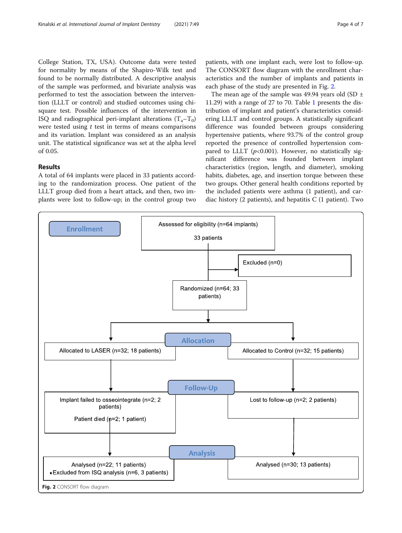College Station, TX, USA). Outcome data were tested for normality by means of the Shapiro-Wilk test and found to be normally distributed. A descriptive analysis of the sample was performed, and bivariate analysis was performed to test the association between the intervention (LLLT or control) and studied outcomes using chisquare test. Possible influences of the intervention in ISO and radiographical peri-implant alterations  $(T_a-T_0)$ were tested using  $t$  test in terms of means comparisons and its variation. Implant was considered as an analysis unit. The statistical significance was set at the alpha level of 0.05.

#### Results

A total of 64 implants were placed in 33 patients according to the randomization process. One patient of the LLLT group died from a heart attack, and then, two implants were lost to follow-up; in the control group two

patients, with one implant each, were lost to follow-up. The CONSORT flow diagram with the enrollment characteristics and the number of implants and patients in each phase of the study are presented in Fig. 2.

The mean age of the sample was 49.94 years old (SD  $\pm$ 11.29) with a range of 27 to 70. Table [1](#page-4-0) presents the distribution of implant and patient's characteristics considering LLLT and control groups. A statistically significant difference was founded between groups considering hypertensive patients, where 93.7% of the control group reported the presence of controlled hypertension compared to LLLT ( $p<0.001$ ). However, no statistically significant difference was founded between implant characteristics (region, length, and diameter), smoking habits, diabetes, age, and insertion torque between these two groups. Other general health conditions reported by the included patients were asthma (1 patient), and cardiac history (2 patients), and hepatitis C (1 patient). Two

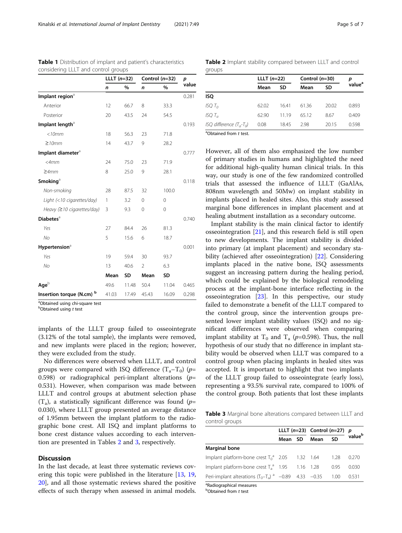|                               | LLLT $(n=32)$ |           | Control $(n=32)$ |           | p     |
|-------------------------------|---------------|-----------|------------------|-----------|-------|
|                               | $\mathsf{n}$  | %         | n                | %         | value |
| Implant region <sup>a</sup>   |               |           |                  |           | 0.281 |
| Anterior                      | 12            | 66.7      | 8                | 33.3      |       |
| Posterior                     | 20            | 43.5      | 24               | 54.5      |       |
| Implant length <sup>a</sup>   |               |           |                  |           | 0.193 |
| $<$ 10 $mm$                   | 18            | 56.3      | 23               | 71.8      |       |
| $\geq$ 10mm                   | 14            | 43.7      | 9                | 28.2      |       |
| Implant diameter <sup>a</sup> |               |           |                  |           | 0.777 |
| $<$ 4 $mm$                    | 24            | 75.0      | 23               | 71.9      |       |
| $\geq$ 4mm                    | 8             | 25.0      | 9                | 28.1      |       |
| Smoking <sup>a</sup>          |               |           |                  |           | 0.118 |
| Non-smoking                   | 28            | 87.5      | 32               | 100.0     |       |
| Light (<10 cigarettes/day)    | 1             | 3.2       | $\mathbf 0$      | 0         |       |
| Heavy $(≥10$ cigarettes/day)  | 3             | 9.3       | 0                | 0         |       |
| <b>Diabetes</b> <sup>a</sup>  |               |           |                  |           | 0.740 |
| Yes                           | 27            | 84.4      | 26               | 81.3      |       |
| No                            | 5             | 15.6      | 6                | 18.7      |       |
| Hypertension <sup>a</sup>     |               |           |                  |           | 0.001 |
| Yes                           | 19            | 59.4      | 30               | 93.7      |       |
| No                            | 13            | 40.6      | $\mathfrak{D}$   | 6.3       |       |
|                               | Mean          | <b>SD</b> | Mean             | <b>SD</b> |       |
| $Age^b$                       | 49.6          | 11.48     | 50.4             | 11.04     | 0.465 |
| Insertion torque (N.cm) b     | 41.03         | 17.49     | 45.43            | 16.09     | 0.298 |

<span id="page-4-0"></span>Table 1 Distribution of implant and patient's characteristics considering LLLT and control groups

<sup>a</sup>Obtained using chi-square test

 $^{b}$ Obtained using t test

implants of the LLLT group failed to osseointegrate (3.12% of the total sample), the implants were removed, and new implants were placed in the region; however, they were excluded from the study.

No differences were observed when LLLT, and control groups were compared with ISQ difference  $(T_a-T_0)$  (p= 0.598) or radiographical peri-implant alterations ( $p=$ 0.531). However, when comparison was made between LLLT and control groups at abutment selection phase  $(T_a)$ , a statistically significant difference was found (p= 0.030), where LLLT group presented an average distance of 1.95mm between the implant platform to the radiographic bone crest. All ISQ and implant platforms to bone crest distance values according to each intervention are presented in Tables 2 and 3, respectively.

#### **Discussion**

In the last decade, at least three systematic reviews covering this topic were published in the literature [[13,](#page-6-0) [19](#page-6-0), [20\]](#page-6-0), and all those systematic reviews shared the positive effects of such therapy when assessed in animal models.

Table 2 Implant stability compared between LLLT and control groups

|                         | LLLT $(n=22)$ |       | Control $(n=30)$ | р     |                    |  |
|-------------------------|---------------|-------|------------------|-------|--------------------|--|
|                         | Mean          | SD    | Mean             | SD    | value <sup>a</sup> |  |
| ISQ                     |               |       |                  |       |                    |  |
| ISQ T $_0$              | 62.02         | 16.41 | 61.36            | 20.02 | 0.893              |  |
| $ISOT_a$                | 62.90         | 1119  | 65.12            | 8.67  | 0.409              |  |
| ISQ difference (T.,-T.) | 0.08          | 18.45 | 2.98             | 20.15 | 0.598              |  |
| $301.11$ $101.11$       |               |       |                  |       |                    |  |

<sup>a</sup>Obtained from t test.

However, all of them also emphasized the low number of primary studies in humans and highlighted the need for additional high-quality human clinical trials. In this way, our study is one of the few randomized controlled trials that assessed the influence of LLLT (GaAlAs, 808nm wavelength and 50Mw) on implant stability in implants placed in healed sites. Also, this study assessed marginal bone differences in implant placement and at healing abutment installation as a secondary outcome.

Implant stability is the main clinical factor to identify osseointegration [[21\]](#page-6-0), and this research field is still open to new developments. The implant stability is divided into primary (at implant placement) and secondary stability (achieved after osseointegration) [\[22\]](#page-6-0). Considering implants placed in the native bone, ISQ assessments suggest an increasing pattern during the healing period, which could be explained by the biological remodeling process at the implant-bone interface reflecting in the osseointegration [[23](#page-6-0)]. In this perspective, our study failed to demonstrate a benefit of the LLLT compared to the control group, since the intervention groups presented lower implant stability values (ISQ) and no significant differences were observed when comparing implant stability at T<sub>0</sub> and T<sub>a</sub> ( $p=0.598$ ). Thus, the null hypothesis of our study that no difference in implant stability would be observed when LLLT was compared to a control group when placing implants in healed sites was accepted. It is important to highlight that two implants of the LLLT group failed to osseointegrate (early loss), representing a 93.5% survival rate, compared to 100% of the control group. Both patients that lost these implants

Table 3 Marginal bone alterations compared between LLLT and control groups

|                                                         |  |  | LLLT $(n=23)$ Control $(n=27)$ p |        |                    |
|---------------------------------------------------------|--|--|----------------------------------|--------|--------------------|
|                                                         |  |  | Mean SD Mean                     | SD     | value <sup>b</sup> |
| Marginal bone                                           |  |  |                                  |        |                    |
| Implant platform-bone crest $T_0^a$ 2.05 1.32 1.64      |  |  |                                  | - 1.28 | 0.270              |
| Implant platform-bone crest $T_a^a$ 1.95 1.16 1.28      |  |  |                                  | 0.95   | 0.030              |
| Peri-implant alterations $(T_0-T_a)^a$ -0.89 4.33 -0.35 |  |  |                                  | - 1.00 | 0.531              |
| $a_{\text{D}}$                                          |  |  |                                  |        |                    |

Radiographical measures

**b**Obtained from t test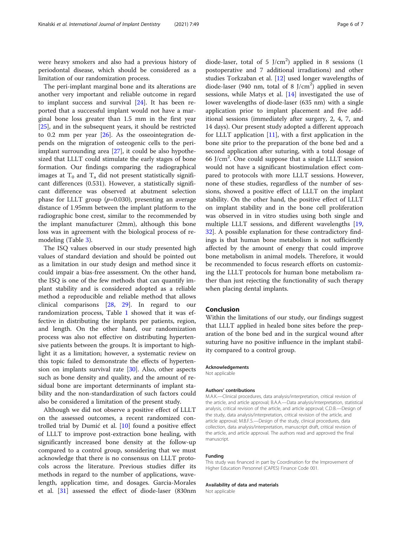were heavy smokers and also had a previous history of periodontal disease, which should be considered as a limitation of our randomization process.

The peri-implant marginal bone and its alterations are another very important and reliable outcome in regard to implant success and survival [[24\]](#page-6-0). It has been reported that a successful implant would not have a marginal bone loss greater than 1.5 mm in the first year [[25\]](#page-6-0), and in the subsequent years, it should be restricted to 0.2 mm per year  $[26]$  $[26]$ . As the osseointegration depends on the migration of osteogenic cells to the periimplant surrounding area [\[27](#page-6-0)], it could be also hypothesized that LLLT could stimulate the early stages of bone formation. Our findings comparing the radiographical images at  $T_0$  and  $T_a$  did not present statistically significant differences (0.531). However, a statistically significant difference was observed at abutment selection phase for LLLT group  $(p=0.030)$ , presenting an average distance of 1.95mm between the implant platform to the radiographic bone crest, similar to the recommended by the implant manufacturer (2mm), although this bone loss was in agreement with the biological process of remodeling (Table [3\)](#page-4-0).

The ISQ values observed in our study presented high values of standard deviation and should be pointed out as a limitation in our study design and method since it could impair a bias-free assessment. On the other hand, the ISQ is one of the few methods that can quantify implant stability and is considered adopted as a reliable method a reproducible and reliable method that allows clinical comparisons [\[28](#page-6-0), [29](#page-6-0)]. In regard to our randomization process, Table [1](#page-4-0) showed that it was effective in distributing the implants per patients, region, and length. On the other hand, our randomization process was also not effective on distributing hypertensive patients between the groups. It is important to highlight it as a limitation; however, a systematic review on this topic failed to demonstrate the effects of hypertension on implants survival rate [\[30\]](#page-6-0). Also, other aspects such as bone density and quality, and the amount of residual bone are important determinants of implant stability and the non-standardization of such factors could also be considered a limitation of the present study.

Although we did not observe a positive effect of LLLT on the assessed outcomes, a recent randomized controlled trial by Dumić et al. [\[10\]](#page-6-0) found a positive effect of LLLT to improve post-extraction bone healing, with significantly increased bone density at the follow-up compared to a control group, sonsidering that we must acknowledge that there is no consensus on LLLT protocols across the literature. Previous studies differ its methods in regard to the number of applications, wavelength, application time, and dosages. Garcia-Morales et al. [[31](#page-6-0)] assessed the effect of diode-laser (830nm

diode-laser, total of 5  $J/cm<sup>2</sup>$ ) applied in 8 sessions (1 postoperative and 7 additional irradiations) and other studies Torkzaban et al. [\[12\]](#page-6-0) used longer wavelengths of diode-laser (940 nm, total of 8  $J/cm<sup>2</sup>$ ) applied in seven sessions, while Matys et al. [[14](#page-6-0)] investigated the use of lower wavelengths of diode-laser (635 nm) with a single application prior to implant placement and five additional sessions (immediately after surgery, 2, 4, 7, and 14 days). Our present study adopted a different approach for LLLT application [\[11](#page-6-0)], with a first application in the bone site prior to the preparation of the bone bed and a second application after suturing, with a total dosage of 66 J/cm<sup>2</sup> . One could suppose that a single LLLT session would not have a significant biostimulation effect compared to protocols with more LLLT sessions. However, none of these studies, regardless of the number of sessions, showed a positive effect of LLLT on the implant stability. On the other hand, the positive effect of LLLT on implant stability and in the bone cell proliferation was observed in in vitro studies using both single and multiple LLLT sessions, and different wavelengths [[19](#page-6-0), [32\]](#page-6-0). A possible explanation for these contradictory findings is that human bone metabolism is not sufficiently affected by the amount of energy that could improve bone metabolism in animal models. Therefore, it would be recommended to focus research efforts on customizing the LLLT protocols for human bone metabolism rather than just rejecting the functionality of such therapy when placing dental implants.

#### Conclusion

Within the limitations of our study, our findings suggest that LLLT applied in healed bone sites before the preparation of the bone bed and in the surgical wound after suturing have no positive influence in the implant stability compared to a control group.

#### Acknowledgements

Not applicable

#### Authors' contributions

M.A.K.—Clinical procedures, data analysis/interpretation, critical revision of the article, and article approval; B.A.A.—Data analysis/interpretation, statistical analysis, critical revision of the article, and article approval; C.D.B.—Design of the study, data analysis/interpretation, critical revision of the article, and article approval; M.B.F.S.—Design of the study, clinical procedures, data collection, data analysis/interpretation, manuscript draft, critical revision of the article, and article approval. The authors read and approved the final manuscript.

#### Funding

This study was financed in part by Coordination for the Improvement of Higher Education Personnel (CAPES) Finance Code 001.

#### Availability of data and materials

Not applicable